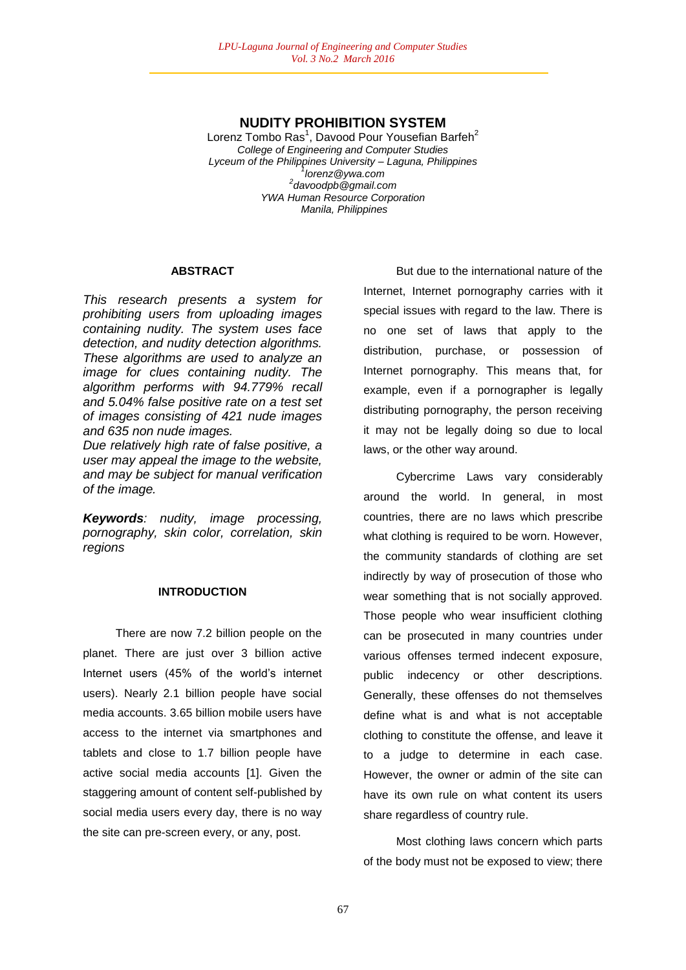# **NUDITY PROHIBITION SYSTEM**

Lorenz Tombo Ras<sup>1</sup>, Davood Pour Yousefian Barfeh<sup>2</sup> *College of Engineering and Computer Studies Lyceum of the Philippines University – Laguna, Philippines 1 lorenz@ywa.com 2 davoodpb@gmail.com YWA Human Resource Corporation Manila, Philippines*

### **ABSTRACT**

*This research presents a system for prohibiting users from uploading images containing nudity. The system uses face detection, and nudity detection algorithms. These algorithms are used to analyze an image for clues containing nudity. The algorithm performs with 94.779% recall and 5.04% false positive rate on a test set of images consisting of 421 nude images and 635 non nude images.* 

*Due relatively high rate of false positive, a user may appeal the image to the website, and may be subject for manual verification of the image.*

*Keywords: nudity, image processing, pornography, skin color, correlation, skin regions*

## **INTRODUCTION**

There are now 7.2 billion people on the planet. There are just over 3 billion active Internet users (45% of the world's internet users). Nearly 2.1 billion people have social media accounts. 3.65 billion mobile users have access to the internet via smartphones and tablets and close to 1.7 billion people have active social media accounts [1]. Given the staggering amount of content self-published by social media users every day, there is no way the site can pre-screen every, or any, post.

But due to the international nature of the Internet, Internet pornography carries with it special issues with regard to the law. There is no one set of laws that apply to the distribution, purchase, or possession of Internet pornography. This means that, for example, even if a pornographer is legally distributing pornography, the person receiving it may not be legally doing so due to local laws, or the other way around.

Cybercrime Laws vary considerably around the world. In general, in most countries, there are no laws which prescribe what clothing is required to be worn. However, the community standards of clothing are set indirectly by way of prosecution of those who wear something that is not socially approved. Those people who wear insufficient clothing can be prosecuted in many countries under various offenses termed indecent exposure, public indecency or other descriptions. Generally, these offenses do not themselves define what is and what is not acceptable clothing to constitute the offense, and leave it to a judge to determine in each case. However, the owner or admin of the site can have its own rule on what content its users share regardless of country rule.

Most clothing laws concern which parts of the body must not be exposed to view; there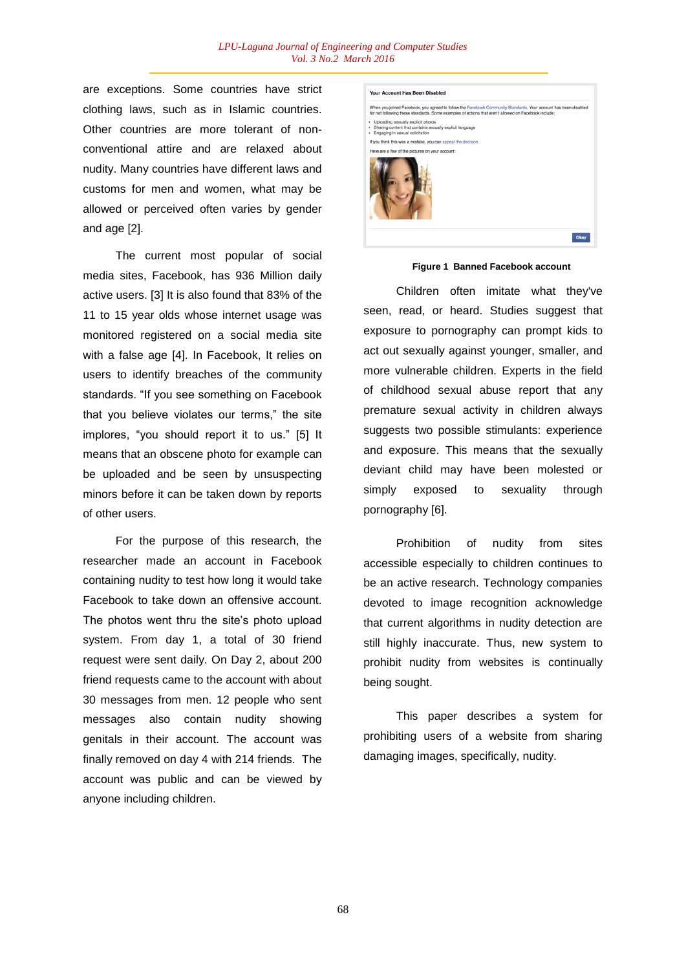are exceptions. Some countries have strict clothing laws, such as in Islamic countries. Other countries are more tolerant of nonconventional attire and are relaxed about nudity. Many countries have different laws and customs for men and women, what may be allowed or perceived often varies by gender and age [2].

The current most popular of social media sites, Facebook, has 936 Million daily active users. [3] It is also found that 83% of the 11 to 15 year olds whose internet usage was monitored registered on a social media site with a false age [4]. In Facebook, It relies on users to identify breaches of the community standards. "If you see something on Facebook that you believe violates our terms," the site implores, "you should report it to us." [5] It means that an obscene photo for example can be uploaded and be seen by unsuspecting minors before it can be taken down by reports of other users.

For the purpose of this research, the researcher made an account in Facebook containing nudity to test how long it would take Facebook to take down an offensive account. The photos went thru the site's photo upload system. From day 1, a total of 30 friend request were sent daily. On Day 2, about 200 friend requests came to the account with about 30 messages from men. 12 people who sent messages also contain nudity showing genitals in their account. The account was finally removed on day 4 with 214 friends. The account was public and can be viewed by anyone including children.



#### **Figure 1 Banned Facebook account**

Children often imitate what they've seen, read, or heard. Studies suggest that exposure to pornography can prompt kids to act out sexually against younger, smaller, and more vulnerable children. Experts in the field of childhood sexual abuse report that any premature sexual activity in children always suggests two possible stimulants: experience and exposure. This means that the sexually deviant child may have been molested or simply exposed to sexuality through pornography [6].

Prohibition of nudity from sites accessible especially to children continues to be an active research. Technology companies devoted to image recognition acknowledge that current algorithms in nudity detection are still highly inaccurate. Thus, new system to prohibit nudity from websites is continually being sought.

This paper describes a system for prohibiting users of a website from sharing damaging images, specifically, nudity.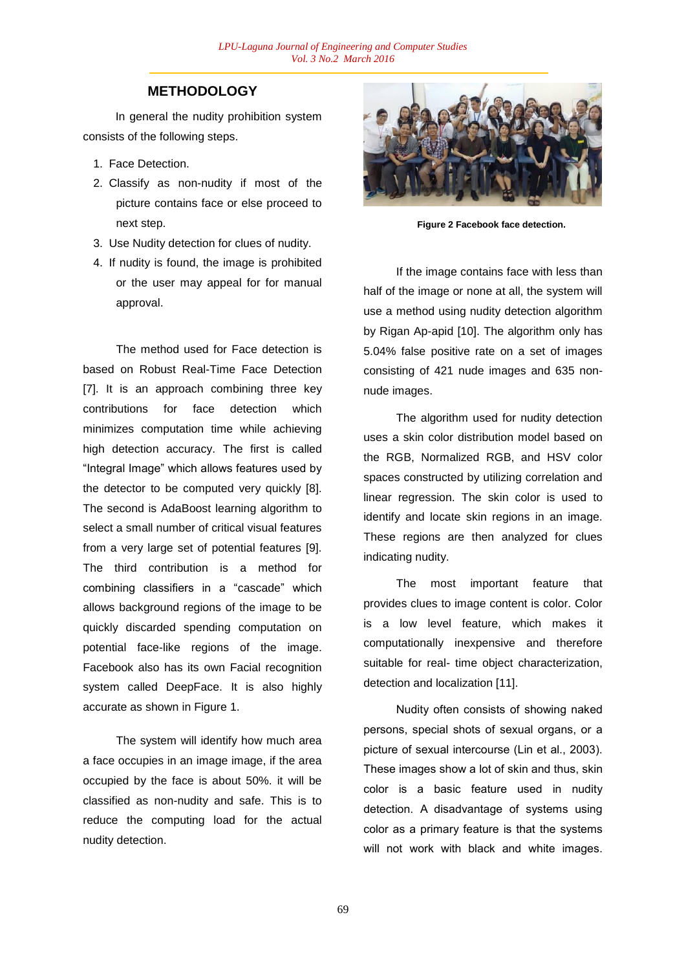# **METHODOLOGY**

In general the nudity prohibition system consists of the following steps.

- 1. Face Detection.
- 2. Classify as non-nudity if most of the picture contains face or else proceed to next step.
- 3. Use Nudity detection for clues of nudity.
- 4. If nudity is found, the image is prohibited or the user may appeal for for manual approval.

The method used for Face detection is based on Robust Real-Time Face Detection [7]. It is an approach combining three key contributions for face detection which minimizes computation time while achieving high detection accuracy. The first is called "Integral Image" which allows features used by the detector to be computed very quickly [8]. The second is AdaBoost learning algorithm to select a small number of critical visual features from a very large set of potential features [9]. The third contribution is a method for combining classifiers in a "cascade" which allows background regions of the image to be quickly discarded spending computation on potential face-like regions of the image. Facebook also has its own Facial recognition system called DeepFace. It is also highly accurate as shown in Figure 1.

The system will identify how much area a face occupies in an image image, if the area occupied by the face is about 50%. it will be classified as non-nudity and safe. This is to reduce the computing load for the actual nudity detection.



**Figure 2 Facebook face detection.**

If the image contains face with less than half of the image or none at all, the system will use a method using nudity detection algorithm by Rigan Ap-apid [10]. The algorithm only has 5.04% false positive rate on a set of images consisting of 421 nude images and 635 nonnude images.

The algorithm used for nudity detection uses a skin color distribution model based on the RGB, Normalized RGB, and HSV color spaces constructed by utilizing correlation and linear regression. The skin color is used to identify and locate skin regions in an image. These regions are then analyzed for clues indicating nudity.

The most important feature that provides clues to image content is color. Color is a low level feature, which makes it computationally inexpensive and therefore suitable for real- time object characterization, detection and localization [11].

Nudity often consists of showing naked persons, special shots of sexual organs, or a picture of sexual intercourse (Lin et al., 2003). These images show a lot of skin and thus, skin color is a basic feature used in nudity detection. A disadvantage of systems using color as a primary feature is that the systems will not work with black and white images.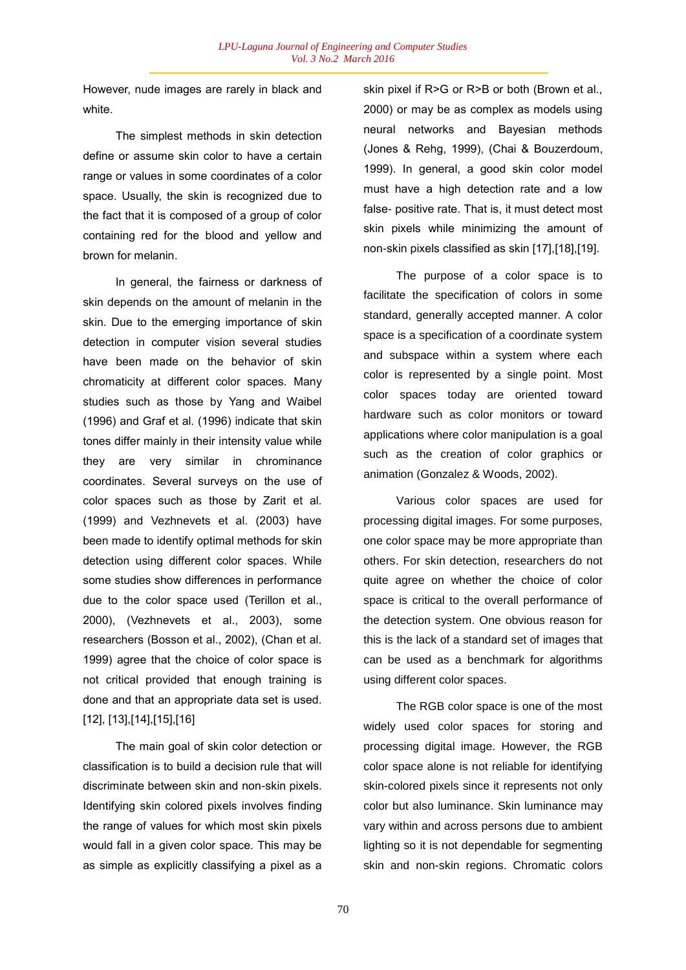However, nude images are rarely in black and white.

The simplest methods in skin detection define or assume skin color to have a certain range or values in some coordinates of a color space. Usually, the skin is recognized due to the fact that it is composed of a group of color containing red for the blood and yellow and brown for melanin.

In general, the fairness or darkness of skin depends on the amount of melanin in the skin. Due to the emerging importance of skin detection in computer vision several studies have been made on the behavior of skin chromaticity at different color spaces. Many studies such as those by Yang and Waibel (1996) and Graf et al. (1996) indicate that skin tones differ mainly in their intensity value while they are very similar in chrominance coordinates. Several surveys on the use of color spaces such as those by Zarit et al. (1999) and Vezhnevets et al. (2003) have been made to identify optimal methods for skin detection using different color spaces. While some studies show differences in performance due to the color space used (Terillon et al., 2000), (Vezhnevets et al., 2003), some researchers (Bosson et al., 2002), (Chan et al. 1999) agree that the choice of color space is not critical provided that enough training is done and that an appropriate data set is used. [12], [13],[14],[15],[16]

The main goal of skin color detection or classification is to build a decision rule that will discriminate between skin and non-skin pixels. Identifying skin colored pixels involves finding the range of values for which most skin pixels would fall in a given color space. This may be as simple as explicitly classifying a pixel as a

skin pixel if R>G or R>B or both (Brown et al., 2000) or may be as complex as models using neural networks and Bayesian methods (Jones & Rehg, 1999), (Chai & Bouzerdoum, 1999). In general, a good skin color model must have a high detection rate and a low false- positive rate. That is, it must detect most skin pixels while minimizing the amount of non-skin pixels classified as skin [17],[18],[19].

The purpose of a color space is to facilitate the specification of colors in some standard, generally accepted manner. A color space is a specification of a coordinate system and subspace within a system where each color is represented by a single point. Most color spaces today are oriented toward hardware such as color monitors or toward applications where color manipulation is a goal such as the creation of color graphics or animation (Gonzalez & Woods, 2002).

Various color spaces are used for processing digital images. For some purposes, one color space may be more appropriate than others. For skin detection, researchers do not quite agree on whether the choice of color space is critical to the overall performance of the detection system. One obvious reason for this is the lack of a standard set of images that can be used as a benchmark for algorithms using different color spaces.

The RGB color space is one of the most widely used color spaces for storing and processing digital image. However, the RGB color space alone is not reliable for identifying skin-colored pixels since it represents not only color but also luminance. Skin luminance may vary within and across persons due to ambient lighting so it is not dependable for segmenting skin and non-skin regions. Chromatic colors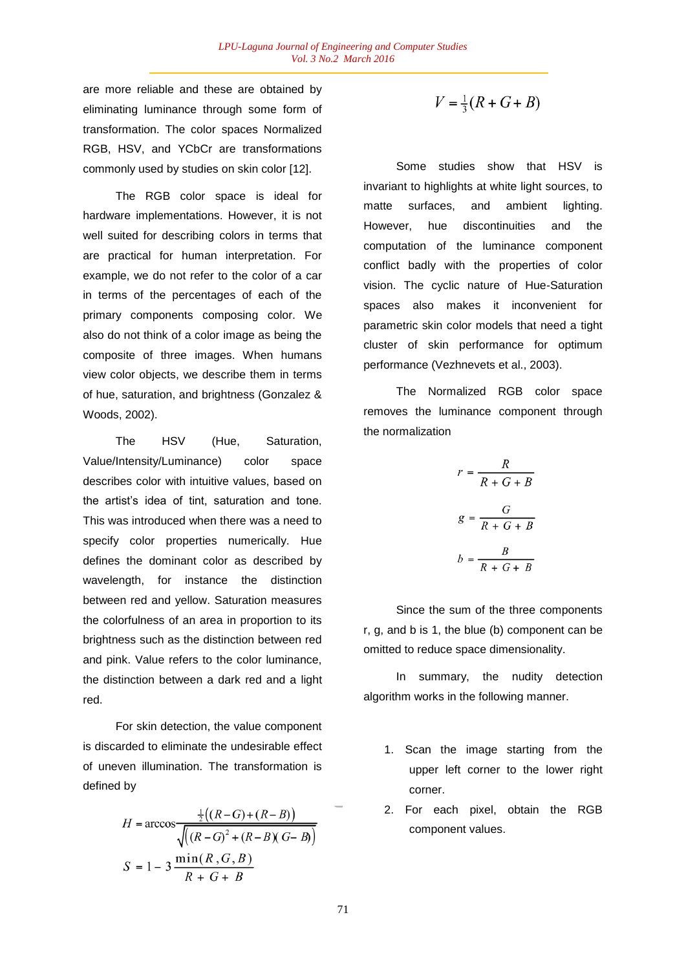are more reliable and these are obtained by eliminating luminance through some form of transformation. The color spaces Normalized RGB, HSV, and YCbCr are transformations commonly used by studies on skin color [12].

The RGB color space is ideal for hardware implementations. However, it is not well suited for describing colors in terms that are practical for human interpretation. For example, we do not refer to the color of a car in terms of the percentages of each of the primary components composing color. We also do not think of a color image as being the composite of three images. When humans view color objects, we describe them in terms of hue, saturation, and brightness (Gonzalez & Woods, 2002).

The HSV (Hue, Saturation, Value/Intensity/Luminance) color space describes color with intuitive values, based on the artist's idea of tint, saturation and tone. This was introduced when there was a need to specify color properties numerically. Hue defines the dominant color as described by wavelength, for instance the distinction between red and yellow. Saturation measures the colorfulness of an area in proportion to its brightness such as the distinction between red and pink. Value refers to the color luminance, the distinction between a dark red and a light red.

For skin detection, the value component is discarded to eliminate the undesirable effect of uneven illumination. The transformation is defined by

$$
H = \arccos \frac{\frac{1}{2}((R-G) + (R-B))}{\sqrt{((R-G)^{2} + (R-B)(G-B))}}
$$

$$
S = 1 - 3 \frac{\min(R, G, B)}{R + G + B}
$$

$$
V = \frac{1}{3}(R + G + B)
$$

Some studies show that HSV is invariant to highlights at white light sources, to matte surfaces, and ambient lighting. However, hue discontinuities and the computation of the luminance component conflict badly with the properties of color vision. The cyclic nature of Hue-Saturation spaces also makes it inconvenient for parametric skin color models that need a tight cluster of skin performance for optimum performance (Vezhnevets et al., 2003).

The Normalized RGB color space removes the luminance component through the normalization

$$
r = \frac{R}{R + G + B}
$$

$$
g = \frac{G}{R + G + B}
$$

$$
b = \frac{B}{R + G + B}
$$

Since the sum of the three components r, g, and b is 1, the blue (b) component can be omitted to reduce space dimensionality.

In summary, the nudity detection algorithm works in the following manner.

- 1. Scan the image starting from the upper left corner to the lower right corner.
- 2. For each pixel, obtain the RGB component values.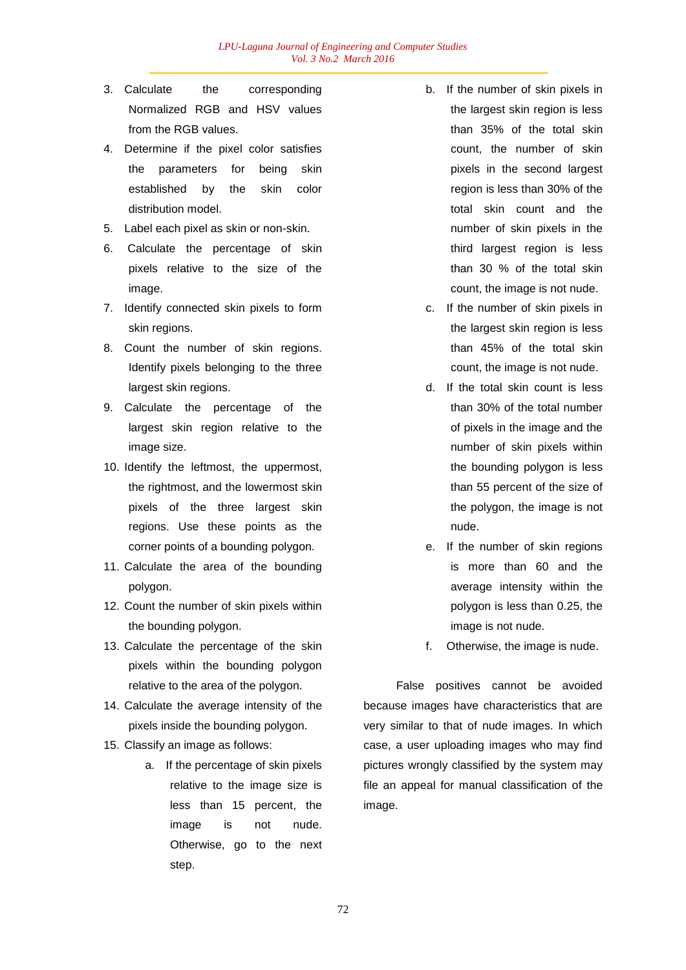- 3. Calculate the corresponding Normalized RGB and HSV values from the RGB values.
- 4. Determine if the pixel color satisfies the parameters for being skin established by the skin color distribution model.
- 5. Label each pixel as skin or non-skin.
- 6. Calculate the percentage of skin pixels relative to the size of the image.
- 7. Identify connected skin pixels to form skin regions.
- 8. Count the number of skin regions. Identify pixels belonging to the three largest skin regions.
- 9. Calculate the percentage of the largest skin region relative to the image size.
- 10. Identify the leftmost, the uppermost, the rightmost, and the lowermost skin pixels of the three largest skin regions. Use these points as the corner points of a bounding polygon.
- 11. Calculate the area of the bounding polygon.
- 12. Count the number of skin pixels within the bounding polygon.
- 13. Calculate the percentage of the skin pixels within the bounding polygon relative to the area of the polygon.
- 14. Calculate the average intensity of the pixels inside the bounding polygon.
- 15. Classify an image as follows:
	- a. If the percentage of skin pixels relative to the image size is less than 15 percent, the image is not nude. Otherwise, go to the next step.
- b. If the number of skin pixels in the largest skin region is less than 35% of the total skin count, the number of skin pixels in the second largest region is less than 30% of the total skin count and the number of skin pixels in the third largest region is less than 30 % of the total skin count, the image is not nude.
- c. If the number of skin pixels in the largest skin region is less than 45% of the total skin count, the image is not nude.
- d. If the total skin count is less than 30% of the total number of pixels in the image and the number of skin pixels within the bounding polygon is less than 55 percent of the size of the polygon, the image is not nude.
- e. If the number of skin regions is more than 60 and the average intensity within the polygon is less than 0.25, the image is not nude.
- f. Otherwise, the image is nude.

False positives cannot be avoided because images have characteristics that are very similar to that of nude images. In which case, a user uploading images who may find pictures wrongly classified by the system may file an appeal for manual classification of the image.